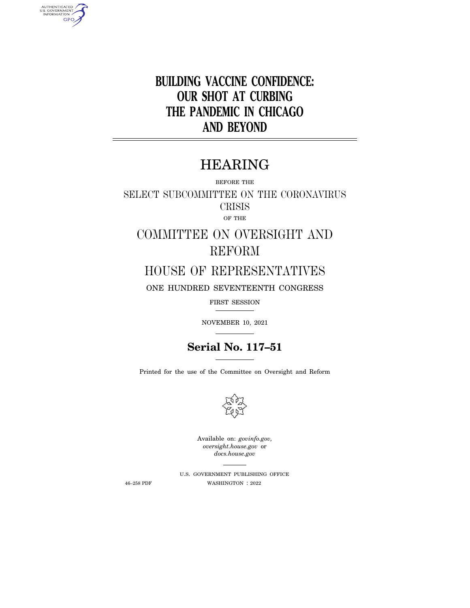**BUILDING VACCINE CONFIDENCE: OUR SHOT AT CURBING THE PANDEMIC IN CHICAGO AND BEYOND** 

# HEARING

BEFORE THE

SELECT SUBCOMMITTEE ON THE CORONAVIRUS CRISIS OF THE

COMMITTEE ON OVERSIGHT AND REFORM

HOUSE OF REPRESENTATIVES

ONE HUNDRED SEVENTEENTH CONGRESS

FIRST SESSION

NOVEMBER 10, 2021

# **Serial No. 117–51**

Printed for the use of the Committee on Oversight and Reform



Available on: *govinfo.gov, oversight.house.gov* or *docs.house.gov* 

AUTHENTICATED<br>U.S. GOVERNMENT<br>INFORMATION **GPO** 

> U.S. GOVERNMENT PUBLISHING OFFICE 46–258 PDF WASHINGTON : 2022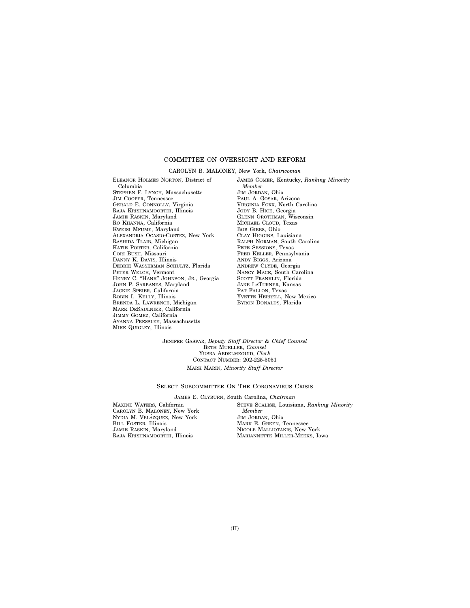# COMMITTEE ON OVERSIGHT AND REFORM

### CAROLYN B. MALONEY, New York, *Chairwoman*

ELEANOR HOLMES NORTON, District of Columbia STEPHEN F. LYNCH, Massachusetts JIM COOPER, Tennessee GERALD E. CONNOLLY, Virginia RAJA KRISHNAMOORTHI, Illinois JAMIE RASKIN, Maryland RO KHANNA, California KWEISI MFUME, Maryland ALEXANDRIA OCASIO-CORTEZ, New York RASHIDA TLAIB, Michigan KATIE PORTER, California CORI BUSH, Missouri DANNY K. DAVIS, Illinois DEBBIE WASSERMAN SCHULTZ, Florida PETER WELCH, Vermont HENRY C. "HANK" JOHNSON, JR., Georgia JOHN P. SARBANES, Maryland JACKIE SPEIER, California ROBIN L. KELLY, Illinois BRENDA L. LAWRENCE, Michigan MARK DESAULNIER, California JIMMY GOMEZ, California AYANNA PRESSLEY, Massachusetts MIKE QUIGLEY, Illinois

JAMES COMER, Kentucky, *Ranking Minority Member*  JIM JORDAN, Ohio PAUL A. GOSAR, Arizona VIRGINIA FOXX, North Carolina JODY B. HICE, Georgia GLENN GROTHMAN, Wisconsin MICHAEL CLOUD, Texas BOB GIBBS, Ohio CLAY HIGGINS, Louisiana RALPH NORMAN, South Carolina PETE SESSIONS, Texas FRED KELLER, Pennsylvania ANDY BIGGS, Arizona ANDREW CLYDE, Georgia NANCY MACE, South Carolina SCOTT FRANKLIN, Florida JAKE LATURNER, Kansas PAT FALLON, Texas YVETTE HERRELL, New Mexico BYRON DONALDS, Florida

JENIFER GASPAR, *Deputy Staff Director & Chief Counsel*  BETH MUELLER, *Counsel*  YUSRA ABDELMEGUID, *Clerk*  CONTACT NUMBER: 202-225-5051 MARK MARIN, *Minority Staff Director* 

#### SELECT SUBCOMMITTEE ON THE CORONAVIRUS CRISIS

### JAMES E. CLYBURN, South Carolina, *Chairman*

MAXINE WATERS, California CAROLYN B. MALONEY, New York NYDIA M. VELÁZQUEZ, New York BILL FOSTER, Illinois JAMIE RASKIN, Maryland RAJA KRISHNAMOORTHI, Illinois

STEVE SCALISE, Louisiana, *Ranking Minority Member*  JIM JORDAN, Ohio MARK E. GREEN, Tennessee NICOLE MALLIOTAKIS, New York MARIANNETTE MILLER-MEEKS, Iowa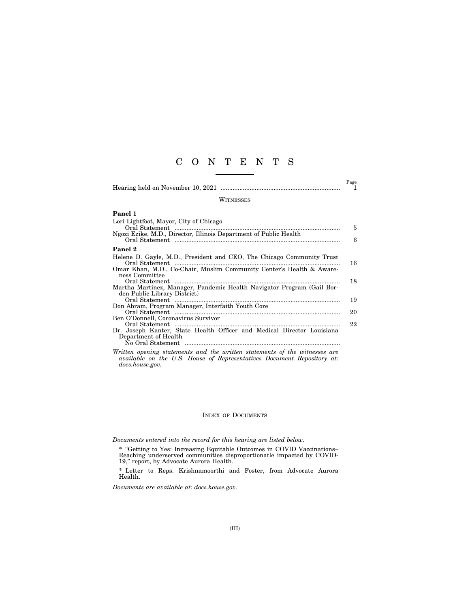# C O N T E N T S

Hearing held on November 10, 2021 ...................................................................... 1

 $\overset{\text{Page}}{1}$ 

#### WITNESSES

| Panel 1                                                                                        |    |
|------------------------------------------------------------------------------------------------|----|
| Lori Lightfoot, Mayor, City of Chicago                                                         | 5  |
| Ngozi Ezike, M.D., Director, Illinois Department of Public Health                              | 6  |
| Panel 2                                                                                        |    |
| Helene D. Gayle, M.D., President and CEO, The Chicago Community Trust                          | 16 |
| Omar Khan, M.D., Co-Chair, Muslim Community Center's Health & Aware-<br>ness Committee         |    |
|                                                                                                | 18 |
| Martha Martinez, Manager, Pandemic Health Navigator Program (Gail Bor-                         |    |
| den Public Library District)                                                                   | 19 |
| Don Abram, Program Manager, Interfaith Youth Core                                              |    |
|                                                                                                | 20 |
| Ben O'Donnell, Coronavirus Survivor                                                            |    |
| Dr. Joseph Kanter, State Health Officer and Medical Director Louisiana<br>Department of Health | 22 |
|                                                                                                |    |

#### INDEX OF DOCUMENTS

*Documents entered into the record for this hearing are listed below.* 

\* Letter to Reps. Krishnamoorthi and Foster, from Advocate Aurora Health.

*Documents are available at: docs.house.gov.* 

*Written opening statements and the written statements of the witnesses are available on the U.S. House of Representatives Document Repository at: docs.house.gov.* 

<sup>\* &#</sup>x27;'Getting to Yes: Increasing Equitable Outcomes in COVID Vaccinations– Reaching underserved communities disproportionatle impacted by COVID-19,'' report, by Advocate Aurora Health.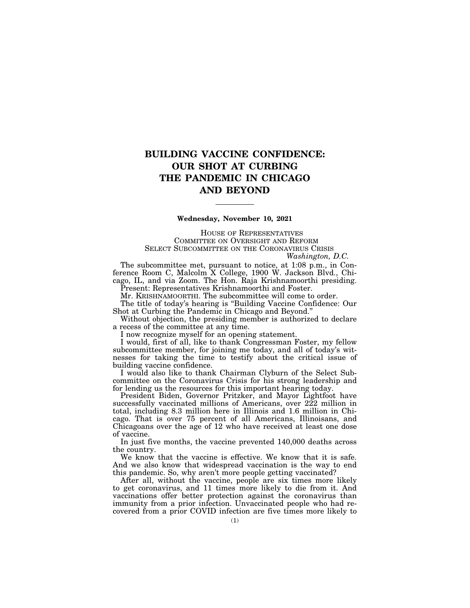# **BUILDING VACCINE CONFIDENCE: OUR SHOT AT CURBING THE PANDEMIC IN CHICAGO AND BEYOND**

### **Wednesday, November 10, 2021**

HOUSE OF REPRESENTATIVES COMMITTEE ON OVERSIGHT AND REFORM SELECT SUBCOMMITTEE ON THE CORONAVIRUS CRISIS *Washington, D.C.* 

The subcommittee met, pursuant to notice, at 1:08 p.m., in Conference Room C, Malcolm X College, 1900 W. Jackson Blvd., Chicago, IL, and via Zoom. The Hon. Raja Krishnamoorthi presiding. Present: Representatives Krishnamoorthi and Foster.

Mr. KRISHNAMOORTHI. The subcommittee will come to order.

The title of today's hearing is ''Building Vaccine Confidence: Our Shot at Curbing the Pandemic in Chicago and Beyond.''

Without objection, the presiding member is authorized to declare a recess of the committee at any time.

I now recognize myself for an opening statement.

I would, first of all, like to thank Congressman Foster, my fellow subcommittee member, for joining me today, and all of today's witnesses for taking the time to testify about the critical issue of building vaccine confidence.

I would also like to thank Chairman Clyburn of the Select Subcommittee on the Coronavirus Crisis for his strong leadership and for lending us the resources for this important hearing today.

President Biden, Governor Pritzker, and Mayor Lightfoot have successfully vaccinated millions of Americans, over 222 million in total, including 8.3 million here in Illinois and 1.6 million in Chicago. That is over 75 percent of all Americans, Illinoisans, and Chicagoans over the age of 12 who have received at least one dose of vaccine.

In just five months, the vaccine prevented 140,000 deaths across the country.

We know that the vaccine is effective. We know that it is safe. And we also know that widespread vaccination is the way to end this pandemic. So, why aren't more people getting vaccinated?

After all, without the vaccine, people are six times more likely to get coronavirus, and 11 times more likely to die from it. And vaccinations offer better protection against the coronavirus than immunity from a prior infection. Unvaccinated people who had recovered from a prior COVID infection are five times more likely to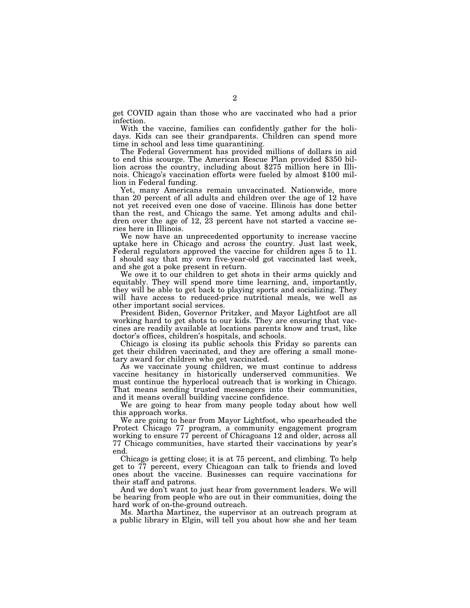get COVID again than those who are vaccinated who had a prior infection.

With the vaccine, families can confidently gather for the holidays. Kids can see their grandparents. Children can spend more time in school and less time quarantining.<br>The Federal Government has provided millions of dollars in aid

to end this scourge. The American Rescue Plan provided \$350 billion across the country, including about \$275 million here in Illinois. Chicago's vaccination efforts were fueled by almost \$100 million in Federal funding.

Yet, many Americans remain unvaccinated. Nationwide, more than 20 percent of all adults and children over the age of 12 have not yet received even one dose of vaccine. Illinois has done better than the rest, and Chicago the same. Yet among adults and children over the age of 12, 23 percent have not started a vaccine series here in Illinois.

We now have an unprecedented opportunity to increase vaccine uptake here in Chicago and across the country. Just last week, Federal regulators approved the vaccine for children ages 5 to 11. I should say that my own five-year-old got vaccinated last week, and she got a poke present in return.

We owe it to our children to get shots in their arms quickly and equitably. They will spend more time learning, and, importantly, they will be able to get back to playing sports and socializing. They will have access to reduced-price nutritional meals, we well as other important social services.

President Biden, Governor Pritzker, and Mayor Lightfoot are all working hard to get shots to our kids. They are ensuring that vaccines are readily available at locations parents know and trust, like doctor's offices, children's hospitals, and schools.

Chicago is closing its public schools this Friday so parents can get their children vaccinated, and they are offering a small monetary award for children who get vaccinated.

As we vaccinate young children, we must continue to address vaccine hesitancy in historically underserved communities. We must continue the hyperlocal outreach that is working in Chicago. That means sending trusted messengers into their communities, and it means overall building vaccine confidence.

We are going to hear from many people today about how well this approach works.

We are going to hear from Mayor Lightfoot, who spearheaded the Protect Chicago 77 program, a community engagement program working to ensure 77 percent of Chicagoans 12 and older, across all 77 Chicago communities, have started their vaccinations by year's end.

Chicago is getting close; it is at 75 percent, and climbing. To help get to 77 percent, every Chicagoan can talk to friends and loved ones about the vaccine. Businesses can require vaccinations for their staff and patrons.

And we don't want to just hear from government leaders. We will be hearing from people who are out in their communities, doing the hard work of on-the-ground outreach.

Ms. Martha Martinez, the supervisor at an outreach program at a public library in Elgin, will tell you about how she and her team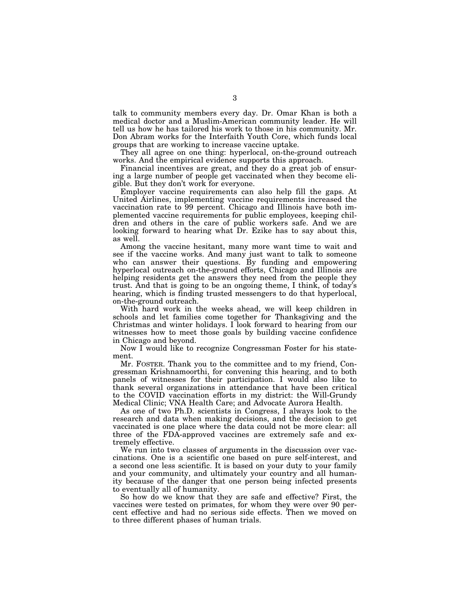talk to community members every day. Dr. Omar Khan is both a medical doctor and a Muslim-American community leader. He will tell us how he has tailored his work to those in his community. Mr. Don Abram works for the Interfaith Youth Core, which funds local groups that are working to increase vaccine uptake.

They all agree on one thing: hyperlocal, on-the-ground outreach works. And the empirical evidence supports this approach.

Financial incentives are great, and they do a great job of ensuring a large number of people get vaccinated when they become eligible. But they don't work for everyone.

Employer vaccine requirements can also help fill the gaps. At United Airlines, implementing vaccine requirements increased the vaccination rate to 99 percent. Chicago and Illinois have both implemented vaccine requirements for public employees, keeping children and others in the care of public workers safe. And we are looking forward to hearing what Dr. Ezike has to say about this, as well.

Among the vaccine hesitant, many more want time to wait and see if the vaccine works. And many just want to talk to someone who can answer their questions. By funding and empowering hyperlocal outreach on-the-ground efforts, Chicago and Illinois are helping residents get the answers they need from the people they trust. And that is going to be an ongoing theme, I think, of today's hearing, which is finding trusted messengers to do that hyperlocal, on-the-ground outreach.

With hard work in the weeks ahead, we will keep children in schools and let families come together for Thanksgiving and the Christmas and winter holidays. I look forward to hearing from our witnesses how to meet those goals by building vaccine confidence in Chicago and beyond.

Now I would like to recognize Congressman Foster for his statement.

Mr. FOSTER. Thank you to the committee and to my friend, Congressman Krishnamoorthi, for convening this hearing, and to both panels of witnesses for their participation. I would also like to thank several organizations in attendance that have been critical to the COVID vaccination efforts in my district: the Will-Grundy Medical Clinic; VNA Health Care; and Advocate Aurora Health.

As one of two Ph.D. scientists in Congress, I always look to the research and data when making decisions, and the decision to get vaccinated is one place where the data could not be more clear: all three of the FDA-approved vaccines are extremely safe and extremely effective.

We run into two classes of arguments in the discussion over vaccinations. One is a scientific one based on pure self-interest, and a second one less scientific. It is based on your duty to your family and your community, and ultimately your country and all humanity because of the danger that one person being infected presents to eventually all of humanity.

So how do we know that they are safe and effective? First, the vaccines were tested on primates, for whom they were over 90 percent effective and had no serious side effects. Then we moved on to three different phases of human trials.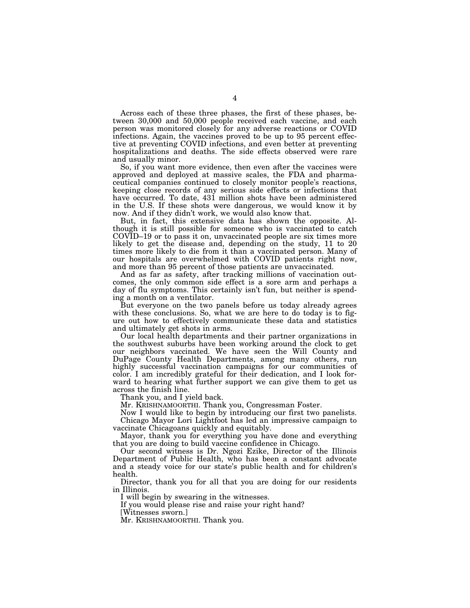Across each of these three phases, the first of these phases, between 30,000 and 50,000 people received each vaccine, and each person was monitored closely for any adverse reactions or COVID infections. Again, the vaccines proved to be up to 95 percent effective at preventing COVID infections, and even better at preventing hospitalizations and deaths. The side effects observed were rare and usually minor.

So, if you want more evidence, then even after the vaccines were approved and deployed at massive scales, the FDA and pharmaceutical companies continued to closely monitor people's reactions, keeping close records of any serious side effects or infections that have occurred. To date, 431 million shots have been administered in the U.S. If these shots were dangerous, we would know it by now. And if they didn't work, we would also know that.

But, in fact, this extensive data has shown the opposite. Although it is still possible for someone who is vaccinated to catch COVID–19 or to pass it on, unvaccinated people are six times more likely to get the disease and, depending on the study, 11 to 20 times more likely to die from it than a vaccinated person. Many of our hospitals are overwhelmed with COVID patients right now, and more than 95 percent of those patients are unvaccinated.

And as far as safety, after tracking millions of vaccination outcomes, the only common side effect is a sore arm and perhaps a day of flu symptoms. This certainly isn't fun, but neither is spending a month on a ventilator.

But everyone on the two panels before us today already agrees with these conclusions. So, what we are here to do today is to figure out how to effectively communicate these data and statistics and ultimately get shots in arms.

Our local health departments and their partner organizations in the southwest suburbs have been working around the clock to get our neighbors vaccinated. We have seen the Will County and DuPage County Health Departments, among many others, run highly successful vaccination campaigns for our communities of color. I am incredibly grateful for their dedication, and I look forward to hearing what further support we can give them to get us across the finish line.

Thank you, and I yield back.

Mr. KRISHNAMOORTHI. Thank you, Congressman Foster.

Now I would like to begin by introducing our first two panelists. Chicago Mayor Lori Lightfoot has led an impressive campaign to vaccinate Chicagoans quickly and equitably.

Mayor, thank you for everything you have done and everything that you are doing to build vaccine confidence in Chicago.

Our second witness is Dr. Ngozi Ezike, Director of the Illinois Department of Public Health, who has been a constant advocate and a steady voice for our state's public health and for children's health.

Director, thank you for all that you are doing for our residents in Illinois.

I will begin by swearing in the witnesses.

If you would please rise and raise your right hand?

[Witnesses sworn.]

Mr. KRISHNAMOORTHI. Thank you.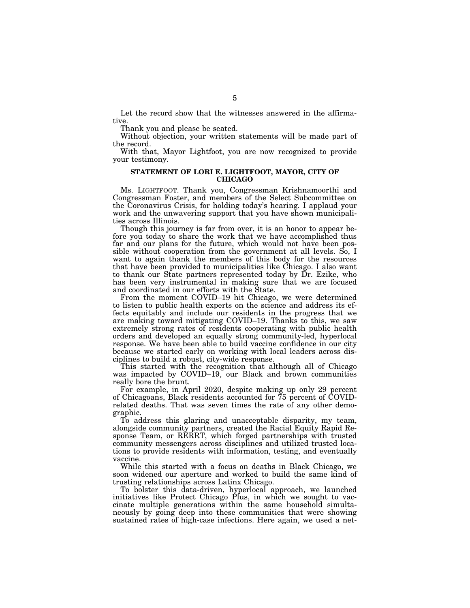Let the record show that the witnesses answered in the affirmative.

Thank you and please be seated.

Without objection, your written statements will be made part of the record.

With that, Mayor Lightfoot, you are now recognized to provide your testimony.

### **STATEMENT OF LORI E. LIGHTFOOT, MAYOR, CITY OF CHICAGO**

Ms. LIGHTFOOT. Thank you, Congressman Krishnamoorthi and Congressman Foster, and members of the Select Subcommittee on the Coronavirus Crisis, for holding today's hearing. I applaud your work and the unwavering support that you have shown municipalities across Illinois.

Though this journey is far from over, it is an honor to appear before you today to share the work that we have accomplished thus far and our plans for the future, which would not have been possible without cooperation from the government at all levels. So, I want to again thank the members of this body for the resources that have been provided to municipalities like Chicago. I also want to thank our State partners represented today by Dr. Ezike, who has been very instrumental in making sure that we are focused and coordinated in our efforts with the State.

From the moment COVID–19 hit Chicago, we were determined to listen to public health experts on the science and address its effects equitably and include our residents in the progress that we are making toward mitigating COVID–19. Thanks to this, we saw extremely strong rates of residents cooperating with public health orders and developed an equally strong community-led, hyperlocal response. We have been able to build vaccine confidence in our city because we started early on working with local leaders across disciplines to build a robust, city-wide response.

This started with the recognition that although all of Chicago was impacted by COVID–19, our Black and brown communities really bore the brunt.

For example, in April 2020, despite making up only 29 percent of Chicagoans, Black residents accounted for 75 percent of COVIDrelated deaths. That was seven times the rate of any other demographic.

To address this glaring and unacceptable disparity, my team, alongside community partners, created the Racial Equity Rapid Response Team, or RERRT, which forged partnerships with trusted community messengers across disciplines and utilized trusted locations to provide residents with information, testing, and eventually vaccine.

While this started with a focus on deaths in Black Chicago, we soon widened our aperture and worked to build the same kind of trusting relationships across Latinx Chicago.

To bolster this data-driven, hyperlocal approach, we launched initiatives like Protect Chicago Plus, in which we sought to vaccinate multiple generations within the same household simultaneously by going deep into these communities that were showing sustained rates of high-case infections. Here again, we used a net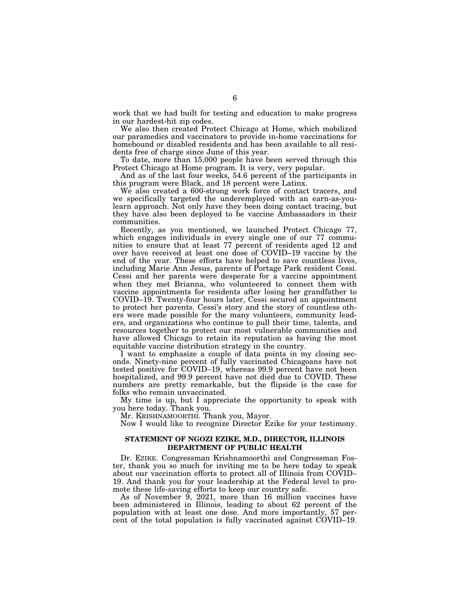work that we had built for testing and education to make progress in our hardest-hit zip codes.

We also then created Protect Chicago at Home, which mobilized our paramedics and vaccinators to provide in-home vaccinations for homebound or disabled residents and has been available to all residents free of charge since June of this year.

To date, more than 15,000 people have been served through this Protect Chicago at Home program. It is very, very popular.

And as of the last four weeks, 54.6 percent of the participants in this program were Black, and 18 percent were Latinx.

We also created a 600-strong work force of contact tracers, and we specifically targeted the underemployed with an earn-as-youlearn approach. Not only have they been doing contact tracing, but they have also been deployed to be vaccine Ambassadors in their communities.

Recently, as you mentioned, we launched Protect Chicago 77, which engages individuals in every single one of our 77 communities to ensure that at least 77 percent of residents aged 12 and over have received at least one dose of COVID–19 vaccine by the end of the year. These efforts have helped to save countless lives, including Marie Ann Jesus, parents of Portage Park resident Cessi. Cessi and her parents were desperate for a vaccine appointment when they met Brianna, who volunteered to connect them with vaccine appointments for residents after losing her grandfather to COVID–19. Twenty-four hours later, Cessi secured an appointment to protect her parents. Cessi's story and the story of countless others were made possible for the many volunteers, community leaders, and organizations who continue to pull their time, talents, and resources together to protect our most vulnerable communities and have allowed Chicago to retain its reputation as having the most equitable vaccine distribution strategy in the country.

I want to emphasize a couple of data points in my closing seconds. Ninety-nine percent of fully vaccinated Chicagoans have not tested positive for COVID–19, whereas 99.9 percent have not been hospitalized, and 99.9 percent have not died due to COVID. These numbers are pretty remarkable, but the flipside is the case for folks who remain unvaccinated.

My time is up, but I appreciate the opportunity to speak with you here today. Thank you.

Mr. KRISHNAMOORTHI. Thank you, Mayor.

Now I would like to recognize Director Ezike for your testimony.

## **STATEMENT OF NGOZI EZIKE, M.D., DIRECTOR, ILLINOIS DEPARTMENT OF PUBLIC HEALTH**

Dr. EZIKE. Congressman Krishnamoorthi and Congressman Foster, thank you so much for inviting me to be here today to speak about our vaccination efforts to protect all of Illinois from COVID– 19. And thank you for your leadership at the Federal level to promote these life-saving efforts to keep our country safe.

As of November 9, 2021, more than 16 million vaccines have been administered in Illinois, leading to about 62 percent of the population with at least one dose. And more importantly, 57 percent of the total population is fully vaccinated against COVID–19.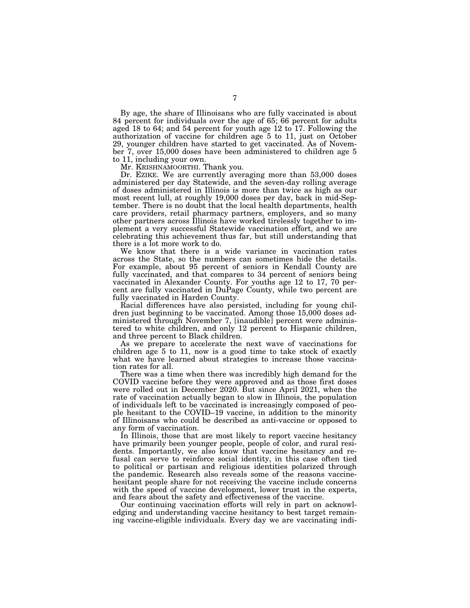By age, the share of Illinoisans who are fully vaccinated is about 84 percent for individuals over the age of 65; 66 percent for adults aged 18 to 64; and 54 percent for youth age 12 to 17. Following the authorization of vaccine for children age 5 to 11, just on October 29, younger children have started to get vaccinated. As of November 7, over 15,000 doses have been administered to children age 5 to 11, including your own.

Mr. KRISHNAMOORTHI. Thank you.

Dr. EZIKE. We are currently averaging more than 53,000 doses administered per day Statewide, and the seven-day rolling average of doses administered in Illinois is more than twice as high as our most recent lull, at roughly 19,000 doses per day, back in mid-September. There is no doubt that the local health departments, health care providers, retail pharmacy partners, employers, and so many other partners across Illinois have worked tirelessly together to implement a very successful Statewide vaccination effort, and we are celebrating this achievement thus far, but still understanding that there is a lot more work to do.

We know that there is a wide variance in vaccination rates across the State, so the numbers can sometimes hide the details. For example, about 95 percent of seniors in Kendall County are fully vaccinated, and that compares to 34 percent of seniors being vaccinated in Alexander County. For youths age 12 to 17, 70 percent are fully vaccinated in DuPage County, while two percent are fully vaccinated in Harden County.

Racial differences have also persisted, including for young children just beginning to be vaccinated. Among those 15,000 doses administered through November 7, [inaudible] percent were administered to white children, and only 12 percent to Hispanic children, and three percent to Black children.

As we prepare to accelerate the next wave of vaccinations for children age 5 to 11, now is a good time to take stock of exactly what we have learned about strategies to increase those vaccination rates for all.

There was a time when there was incredibly high demand for the COVID vaccine before they were approved and as those first doses were rolled out in December 2020. But since April 2021, when the rate of vaccination actually began to slow in Illinois, the population of individuals left to be vaccinated is increasingly composed of people hesitant to the COVID–19 vaccine, in addition to the minority of Illinoisans who could be described as anti-vaccine or opposed to any form of vaccination.

In Illinois, those that are most likely to report vaccine hesitancy have primarily been younger people, people of color, and rural residents. Importantly, we also know that vaccine hesitancy and refusal can serve to reinforce social identity, in this case often tied to political or partisan and religious identities polarized through the pandemic. Research also reveals some of the reasons vaccinehesitant people share for not receiving the vaccine include concerns with the speed of vaccine development, lower trust in the experts, and fears about the safety and effectiveness of the vaccine.

Our continuing vaccination efforts will rely in part on acknowledging and understanding vaccine hesitancy to best target remaining vaccine-eligible individuals. Every day we are vaccinating indi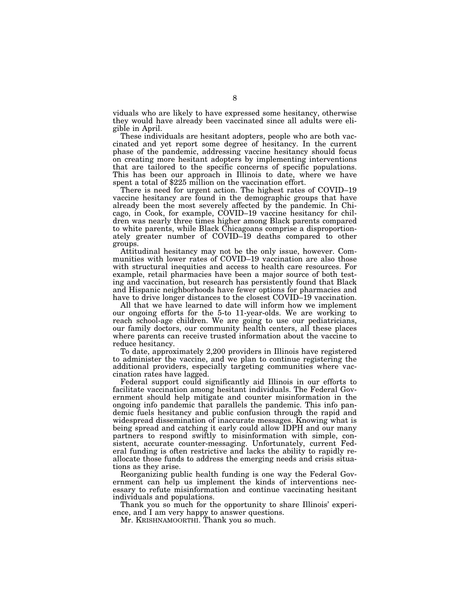viduals who are likely to have expressed some hesitancy, otherwise they would have already been vaccinated since all adults were eligible in April.

These individuals are hesitant adopters, people who are both vaccinated and yet report some degree of hesitancy. In the current phase of the pandemic, addressing vaccine hesitancy should focus on creating more hesitant adopters by implementing interventions that are tailored to the specific concerns of specific populations. This has been our approach in Illinois to date, where we have spent a total of \$225 million on the vaccination effort.

There is need for urgent action. The highest rates of COVID–19 vaccine hesitancy are found in the demographic groups that have already been the most severely affected by the pandemic. In Chicago, in Cook, for example, COVID–19 vaccine hesitancy for children was nearly three times higher among Black parents compared to white parents, while Black Chicagoans comprise a disproportionately greater number of COVID–19 deaths compared to other groups.

Attitudinal hesitancy may not be the only issue, however. Communities with lower rates of COVID–19 vaccination are also those with structural inequities and access to health care resources. For example, retail pharmacies have been a major source of both testing and vaccination, but research has persistently found that Black and Hispanic neighborhoods have fewer options for pharmacies and have to drive longer distances to the closest COVID–19 vaccination.

All that we have learned to date will inform how we implement our ongoing efforts for the 5-to 11-year-olds. We are working to reach school-age children. We are going to use our pediatricians, our family doctors, our community health centers, all these places where parents can receive trusted information about the vaccine to reduce hesitancy.

To date, approximately 2,200 providers in Illinois have registered to administer the vaccine, and we plan to continue registering the additional providers, especially targeting communities where vaccination rates have lagged.

Federal support could significantly aid Illinois in our efforts to facilitate vaccination among hesitant individuals. The Federal Government should help mitigate and counter misinformation in the ongoing info pandemic that parallels the pandemic. This info pandemic fuels hesitancy and public confusion through the rapid and widespread dissemination of inaccurate messages. Knowing what is being spread and catching it early could allow IDPH and our many partners to respond swiftly to misinformation with simple, consistent, accurate counter-messaging. Unfortunately, current Federal funding is often restrictive and lacks the ability to rapidly reallocate those funds to address the emerging needs and crisis situations as they arise.

Reorganizing public health funding is one way the Federal Government can help us implement the kinds of interventions necessary to refute misinformation and continue vaccinating hesitant individuals and populations.

Thank you so much for the opportunity to share Illinois' experience, and I am very happy to answer questions.

Mr. KRISHNAMOORTHI. Thank you so much.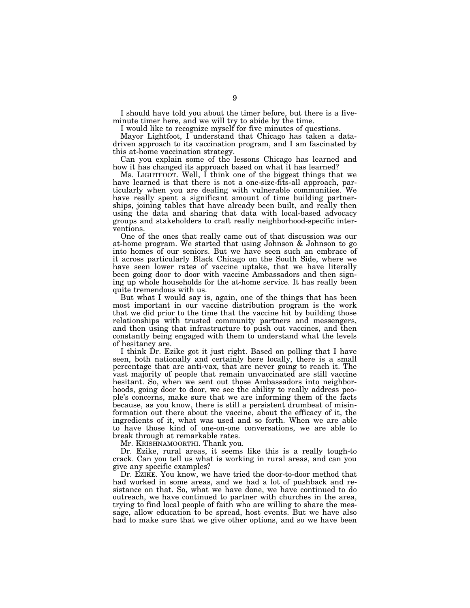I should have told you about the timer before, but there is a fiveminute timer here, and we will try to abide by the time.

I would like to recognize myself for five minutes of questions.

Mayor Lightfoot, I understand that Chicago has taken a datadriven approach to its vaccination program, and I am fascinated by this at-home vaccination strategy.

Can you explain some of the lessons Chicago has learned and how it has changed its approach based on what it has learned?

Ms. LIGHTFOOT. Well, I think one of the biggest things that we have learned is that there is not a one-size-fits-all approach, particularly when you are dealing with vulnerable communities. We have really spent a significant amount of time building partnerships, joining tables that have already been built, and really then using the data and sharing that data with local-based advocacy groups and stakeholders to craft really neighborhood-specific interventions.

One of the ones that really came out of that discussion was our at-home program. We started that using Johnson & Johnson to go into homes of our seniors. But we have seen such an embrace of it across particularly Black Chicago on the South Side, where we have seen lower rates of vaccine uptake, that we have literally been going door to door with vaccine Ambassadors and then signing up whole households for the at-home service. It has really been quite tremendous with us.

But what I would say is, again, one of the things that has been most important in our vaccine distribution program is the work that we did prior to the time that the vaccine hit by building those relationships with trusted community partners and messengers, and then using that infrastructure to push out vaccines, and then constantly being engaged with them to understand what the levels of hesitancy are.

I think Dr. Ezike got it just right. Based on polling that I have seen, both nationally and certainly here locally, there is a small percentage that are anti-vax, that are never going to reach it. The vast majority of people that remain unvaccinated are still vaccine hesitant. So, when we sent out those Ambassadors into neighborhoods, going door to door, we see the ability to really address people's concerns, make sure that we are informing them of the facts because, as you know, there is still a persistent drumbeat of misinformation out there about the vaccine, about the efficacy of it, the ingredients of it, what was used and so forth. When we are able to have those kind of one-on-one conversations, we are able to break through at remarkable rates.

Mr. KRISHNAMOORTHI. Thank you.

Dr. Ezike, rural areas, it seems like this is a really tough-to crack. Can you tell us what is working in rural areas, and can you give any specific examples?

Dr. EZIKE. You know, we have tried the door-to-door method that had worked in some areas, and we had a lot of pushback and resistance on that. So, what we have done, we have continued to do outreach, we have continued to partner with churches in the area, trying to find local people of faith who are willing to share the message, allow education to be spread, host events. But we have also had to make sure that we give other options, and so we have been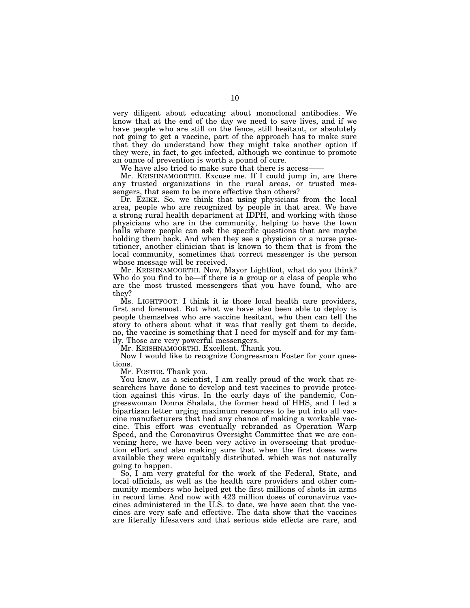very diligent about educating about monoclonal antibodies. We know that at the end of the day we need to save lives, and if we have people who are still on the fence, still hesitant, or absolutely not going to get a vaccine, part of the approach has to make sure that they do understand how they might take another option if they were, in fact, to get infected, although we continue to promote an ounce of prevention is worth a pound of cure.

We have also tried to make sure that there is access-

Mr. KRISHNAMOORTHI. Excuse me. If I could jump in, are there any trusted organizations in the rural areas, or trusted messengers, that seem to be more effective than others?

Dr. EZIKE. So, we think that using physicians from the local area, people who are recognized by people in that area. We have a strong rural health department at IDPH, and working with those physicians who are in the community, helping to have the town halls where people can ask the specific questions that are maybe holding them back. And when they see a physician or a nurse practitioner, another clinician that is known to them that is from the local community, sometimes that correct messenger is the person whose message will be received.

Mr. KRISHNAMOORTHI. Now, Mayor Lightfoot, what do you think? Who do you find to be—if there is a group or a class of people who are the most trusted messengers that you have found, who are they?

Ms. LIGHTFOOT. I think it is those local health care providers, first and foremost. But what we have also been able to deploy is people themselves who are vaccine hesitant, who then can tell the story to others about what it was that really got them to decide, no, the vaccine is something that I need for myself and for my family. Those are very powerful messengers.

Mr. KRISHNAMOORTHI. Excellent. Thank you.

Now I would like to recognize Congressman Foster for your questions.

Mr. FOSTER. Thank you.

You know, as a scientist, I am really proud of the work that researchers have done to develop and test vaccines to provide protection against this virus. In the early days of the pandemic, Congresswoman Donna Shalala, the former head of HHS, and I led a bipartisan letter urging maximum resources to be put into all vaccine manufacturers that had any chance of making a workable vaccine. This effort was eventually rebranded as Operation Warp Speed, and the Coronavirus Oversight Committee that we are convening here, we have been very active in overseeing that production effort and also making sure that when the first doses were available they were equitably distributed, which was not naturally going to happen.

So, I am very grateful for the work of the Federal, State, and local officials, as well as the health care providers and other community members who helped get the first millions of shots in arms in record time. And now with 423 million doses of coronavirus vaccines administered in the U.S. to date, we have seen that the vaccines are very safe and effective. The data show that the vaccines are literally lifesavers and that serious side effects are rare, and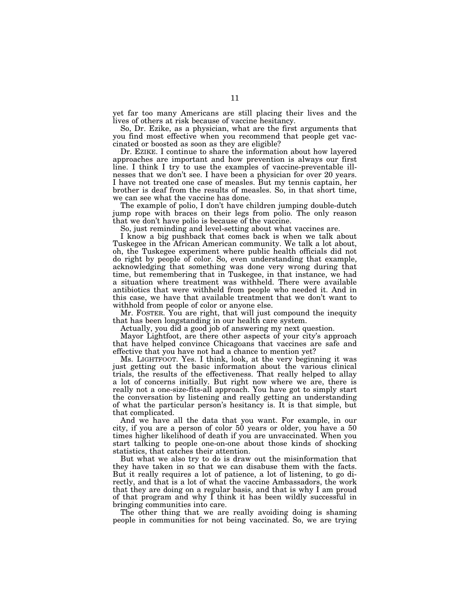yet far too many Americans are still placing their lives and the lives of others at risk because of vaccine hesitancy.

So, Dr. Ezike, as a physician, what are the first arguments that you find most effective when you recommend that people get vaccinated or boosted as soon as they are eligible?

Dr. EZIKE. I continue to share the information about how layered approaches are important and how prevention is always our first line. I think I try to use the examples of vaccine-preventable illnesses that we don't see. I have been a physician for over 20 years. I have not treated one case of measles. But my tennis captain, her brother is deaf from the results of measles. So, in that short time, we can see what the vaccine has done.

The example of polio, I don't have children jumping double-dutch jump rope with braces on their legs from polio. The only reason that we don't have polio is because of the vaccine.

So, just reminding and level-setting about what vaccines are.

I know a big pushback that comes back is when we talk about Tuskegee in the African American community. We talk a lot about, oh, the Tuskegee experiment where public health officials did not do right by people of color. So, even understanding that example, acknowledging that something was done very wrong during that time, but remembering that in Tuskegee, in that instance, we had a situation where treatment was withheld. There were available antibiotics that were withheld from people who needed it. And in this case, we have that available treatment that we don't want to withhold from people of color or anyone else.

Mr. FOSTER. You are right, that will just compound the inequity that has been longstanding in our health care system.

Actually, you did a good job of answering my next question.

Mayor Lightfoot, are there other aspects of your city's approach that have helped convince Chicagoans that vaccines are safe and effective that you have not had a chance to mention yet?

Ms. LIGHTFOOT. Yes. I think, look, at the very beginning it was just getting out the basic information about the various clinical trials, the results of the effectiveness. That really helped to allay a lot of concerns initially. But right now where we are, there is really not a one-size-fits-all approach. You have got to simply start the conversation by listening and really getting an understanding of what the particular person's hesitancy is. It is that simple, but that complicated.

And we have all the data that you want. For example, in our city, if you are a person of color 50 years or older, you have a 50 times higher likelihood of death if you are unvaccinated. When you start talking to people one-on-one about those kinds of shocking statistics, that catches their attention.

But what we also try to do is draw out the misinformation that they have taken in so that we can disabuse them with the facts. But it really requires a lot of patience, a lot of listening, to go directly, and that is a lot of what the vaccine Ambassadors, the work that they are doing on a regular basis, and that is why I am proud of that program and why I think it has been wildly successful in bringing communities into care.

The other thing that we are really avoiding doing is shaming people in communities for not being vaccinated. So, we are trying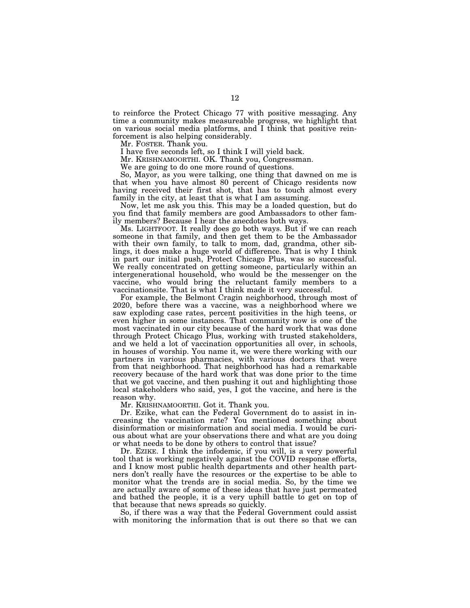to reinforce the Protect Chicago 77 with positive messaging. Any time a community makes measureable progress, we highlight that on various social media platforms, and I think that positive reinforcement is also helping considerably.

Mr. FOSTER. Thank you.

I have five seconds left, so I think I will yield back.

Mr. KRISHNAMOORTHI. OK. Thank you, Congressman.

We are going to do one more round of questions.

So, Mayor, as you were talking, one thing that dawned on me is that when you have almost 80 percent of Chicago residents now having received their first shot, that has to touch almost every family in the city, at least that is what I am assuming.

Now, let me ask you this. This may be a loaded question, but do you find that family members are good Ambassadors to other family members? Because I hear the anecdotes both ways.

Ms. LIGHTFOOT. It really does go both ways. But if we can reach someone in that family, and then get them to be the Ambassador with their own family, to talk to mom, dad, grandma, other siblings, it does make a huge world of difference. That is why I think in part our initial push, Protect Chicago Plus, was so successful. We really concentrated on getting someone, particularly within an intergenerational household, who would be the messenger on the vaccine, who would bring the reluctant family members to a vaccinationsite. That is what I think made it very successful.

For example, the Belmont Cragin neighborhood, through most of 2020, before there was a vaccine, was a neighborhood where we saw exploding case rates, percent positivities in the high teens, or even higher in some instances. That community now is one of the most vaccinated in our city because of the hard work that was done through Protect Chicago Plus, working with trusted stakeholders, and we held a lot of vaccination opportunities all over, in schools, in houses of worship. You name it, we were there working with our partners in various pharmacies, with various doctors that were from that neighborhood. That neighborhood has had a remarkable recovery because of the hard work that was done prior to the time that we got vaccine, and then pushing it out and highlighting those local stakeholders who said, yes, I got the vaccine, and here is the reason why.

Mr. KRISHNAMOORTHI. Got it. Thank you.

Dr. Ezike, what can the Federal Government do to assist in increasing the vaccination rate? You mentioned something about disinformation or misinformation and social media. I would be curious about what are your observations there and what are you doing or what needs to be done by others to control that issue?

Dr. EZIKE. I think the infodemic, if you will, is a very powerful tool that is working negatively against the COVID response efforts, and I know most public health departments and other health partners don't really have the resources or the expertise to be able to monitor what the trends are in social media. So, by the time we are actually aware of some of these ideas that have just permeated and bathed the people, it is a very uphill battle to get on top of that because that news spreads so quickly.

So, if there was a way that the Federal Government could assist with monitoring the information that is out there so that we can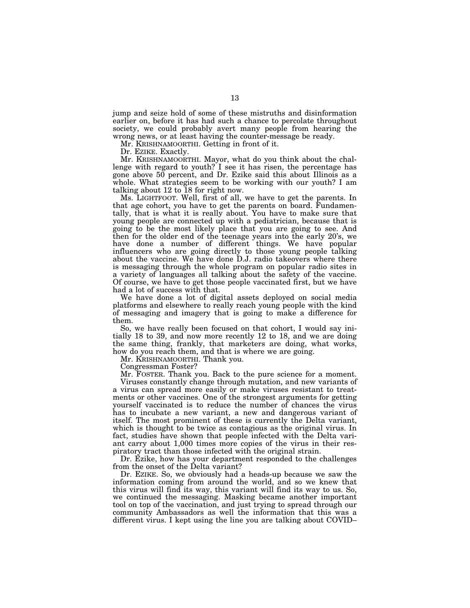jump and seize hold of some of these mistruths and disinformation earlier on, before it has had such a chance to percolate throughout society, we could probably avert many people from hearing the wrong news, or at least having the counter-message be ready.

Mr. KRISHNAMOORTHI. Getting in front of it.

Dr. EZIKE. Exactly.

Mr. KRISHNAMOORTHI. Mayor, what do you think about the challenge with regard to youth? I see it has risen, the percentage has gone above 50 percent, and Dr. Ezike said this about Illinois as a whole. What strategies seem to be working with our youth? I am talking about 12 to 18 for right now.

Ms. LIGHTFOOT. Well, first of all, we have to get the parents. In that age cohort, you have to get the parents on board. Fundamentally, that is what it is really about. You have to make sure that young people are connected up with a pediatrician, because that is going to be the most likely place that you are going to see. And then for the older end of the teenage years into the early 20's, we have done a number of different things. We have popular influencers who are going directly to those young people talking about the vaccine. We have done D.J. radio takeovers where there is messaging through the whole program on popular radio sites in a variety of languages all talking about the safety of the vaccine. Of course, we have to get those people vaccinated first, but we have had a lot of success with that.

We have done a lot of digital assets deployed on social media platforms and elsewhere to really reach young people with the kind of messaging and imagery that is going to make a difference for them.

So, we have really been focused on that cohort, I would say initially 18 to 39, and now more recently 12 to 18, and we are doing the same thing, frankly, that marketers are doing, what works, how do you reach them, and that is where we are going.

Mr. KRISHNAMOORTHI. Thank you.

Congressman Foster?

Mr. FOSTER. Thank you. Back to the pure science for a moment.

Viruses constantly change through mutation, and new variants of a virus can spread more easily or make viruses resistant to treatments or other vaccines. One of the strongest arguments for getting yourself vaccinated is to reduce the number of chances the virus has to incubate a new variant, a new and dangerous variant of itself. The most prominent of these is currently the Delta variant, which is thought to be twice as contagious as the original virus. In fact, studies have shown that people infected with the Delta variant carry about 1,000 times more copies of the virus in their respiratory tract than those infected with the original strain.

Dr. Ezike, how has your department responded to the challenges from the onset of the Delta variant?

Dr. EZIKE. So, we obviously had a heads-up because we saw the information coming from around the world, and so we knew that this virus will find its way, this variant will find its way to us. So, we continued the messaging. Masking became another important tool on top of the vaccination, and just trying to spread through our community Ambassadors as well the information that this was a different virus. I kept using the line you are talking about COVID–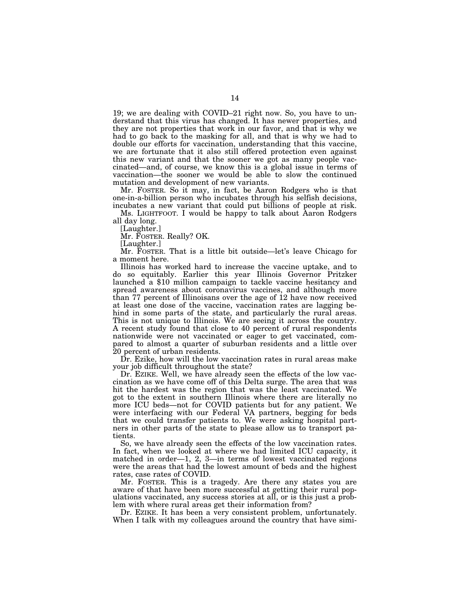19; we are dealing with COVID–21 right now. So, you have to understand that this virus has changed. It has newer properties, and they are not properties that work in our favor, and that is why we had to go back to the masking for all, and that is why we had to double our efforts for vaccination, understanding that this vaccine, we are fortunate that it also still offered protection even against this new variant and that the sooner we got as many people vaccinated—and, of course, we know this is a global issue in terms of vaccination—the sooner we would be able to slow the continued mutation and development of new variants.

Mr. FOSTER. So it may, in fact, be Aaron Rodgers who is that one-in-a-billion person who incubates through his selfish decisions, incubates a new variant that could put billions of people at risk.

Ms. LIGHTFOOT. I would be happy to talk about Aaron Rodgers all day long.

[Laughter.]

Mr. FOSTER. Really? OK.

[Laughter.]

Mr. FOSTER. That is a little bit outside—let's leave Chicago for a moment here.

Illinois has worked hard to increase the vaccine uptake, and to do so equitably. Earlier this year Illinois Governor Pritzker launched a \$10 million campaign to tackle vaccine hesitancy and spread awareness about coronavirus vaccines, and although more than 77 percent of Illinoisans over the age of 12 have now received at least one dose of the vaccine, vaccination rates are lagging behind in some parts of the state, and particularly the rural areas. This is not unique to Illinois. We are seeing it across the country. A recent study found that close to 40 percent of rural respondents nationwide were not vaccinated or eager to get vaccinated, compared to almost a quarter of suburban residents and a little over 20 percent of urban residents.

Dr. Ezike, how will the low vaccination rates in rural areas make your job difficult throughout the state?

Dr. EZIKE. Well, we have already seen the effects of the low vaccination as we have come off of this Delta surge. The area that was hit the hardest was the region that was the least vaccinated. We got to the extent in southern Illinois where there are literally no more ICU beds—not for COVID patients but for any patient. We were interfacing with our Federal VA partners, begging for beds that we could transfer patients to. We were asking hospital partners in other parts of the state to please allow us to transport patients.

So, we have already seen the effects of the low vaccination rates. In fact, when we looked at where we had limited ICU capacity, it matched in order—1, 2, 3—in terms of lowest vaccinated regions were the areas that had the lowest amount of beds and the highest rates, case rates of COVID.

Mr. FOSTER. This is a tragedy. Are there any states you are aware of that have been more successful at getting their rural populations vaccinated, any success stories at all, or is this just a problem with where rural areas get their information from?

Dr. EZIKE. It has been a very consistent problem, unfortunately. When I talk with my colleagues around the country that have simi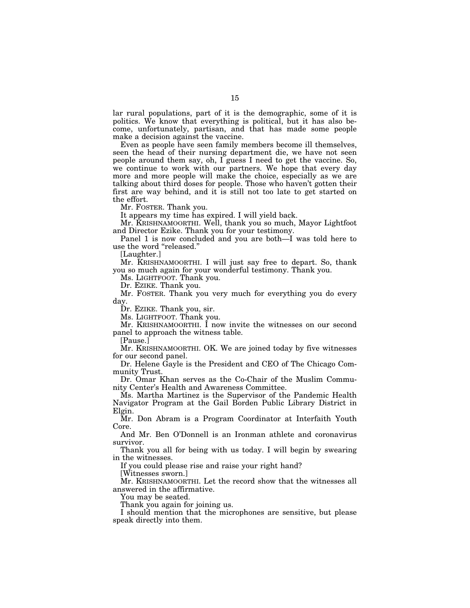lar rural populations, part of it is the demographic, some of it is politics. We know that everything is political, but it has also become, unfortunately, partisan, and that has made some people make a decision against the vaccine.

Even as people have seen family members become ill themselves, seen the head of their nursing department die, we have not seen people around them say, oh, I guess I need to get the vaccine. So, we continue to work with our partners. We hope that every day more and more people will make the choice, especially as we are talking about third doses for people. Those who haven't gotten their first are way behind, and it is still not too late to get started on the effort.

Mr. FOSTER. Thank you.

It appears my time has expired. I will yield back.

Mr. KRISHNAMOORTHI. Well, thank you so much, Mayor Lightfoot and Director Ezike. Thank you for your testimony.

Panel 1 is now concluded and you are both—I was told here to use the word "released."

[Laughter.]

Mr. KRISHNAMOORTHI. I will just say free to depart. So, thank you so much again for your wonderful testimony. Thank you.

Ms. LIGHTFOOT. Thank you.

Dr. EZIKE. Thank you.

Mr. FOSTER. Thank you very much for everything you do every day.

Dr. EZIKE. Thank you, sir.

Ms. LIGHTFOOT. Thank you.

Mr. KRISHNAMOORTHI. I now invite the witnesses on our second panel to approach the witness table.

[Pause.]

Mr. KRISHNAMOORTHI. OK. We are joined today by five witnesses for our second panel.

Dr. Helene Gayle is the President and CEO of The Chicago Community Trust.

Dr. Omar Khan serves as the Co-Chair of the Muslim Community Center's Health and Awareness Committee.

Ms. Martha Martinez is the Supervisor of the Pandemic Health Navigator Program at the Gail Borden Public Library District in Elgin.

Mr. Don Abram is a Program Coordinator at Interfaith Youth Core.

And Mr. Ben O'Donnell is an Ironman athlete and coronavirus survivor.

Thank you all for being with us today. I will begin by swearing in the witnesses.

If you could please rise and raise your right hand?

[Witnesses sworn.]

Mr. KRISHNAMOORTHI. Let the record show that the witnesses all answered in the affirmative.

You may be seated.

Thank you again for joining us.

I should mention that the microphones are sensitive, but please speak directly into them.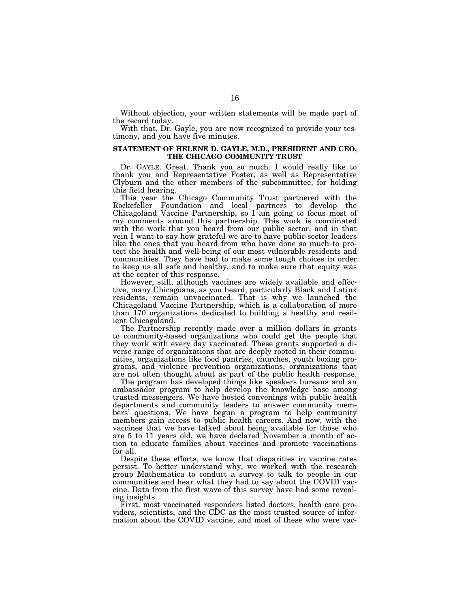Without objection, your written statements will be made part of the record today.

With that, Dr. Gayle, you are now recognized to provide your testimony, and you have five minutes.

### **STATEMENT OF HELENE D. GAYLE, M.D., PRESIDENT AND CEO, THE CHICAGO COMMUNITY TRUST**

Dr. GAYLE. Great. Thank you so much. I would really like to thank you and Representative Foster, as well as Representative Clyburn and the other members of the subcommittee, for holding this field hearing.

This year the Chicago Community Trust partnered with the Rockefeller Foundation and local partners to develop the Chicagoland Vaccine Partnership, so I am going to focus most of my comments around this partnership. This work is coordinated with the work that you heard from our public sector, and in that vein I want to say how grateful we are to have public-sector leaders like the ones that you heard from who have done so much to protect the health and well-being of our most vulnerable residents and communities. They have had to make some tough choices in order to keep us all safe and healthy, and to make sure that equity was at the center of this response.

However, still, although vaccines are widely available and effective, many Chicagoans, as you heard, particularly Black and Latinx residents, remain unvaccinated. That is why we launched the Chicagoland Vaccine Partnership, which is a collaboration of more than 170 organizations dedicated to building a healthy and resilient Chicagoland.

The Partnership recently made over a million dollars in grants to community-based organizations who could get the people that they work with every day vaccinated. These grants supported a diverse range of organizations that are deeply rooted in their communities, organizations like food pantries, churches, youth boxing programs, and violence prevention organizations, organizations that are not often thought about as part of the public health response.

The program has developed things like speakers bureaus and an ambassador program to help develop the knowledge base among trusted messengers. We have hosted convenings with public health departments and community leaders to answer community members' questions. We have begun a program to help community members gain access to public health careers. And now, with the vaccines that we have talked about being available for those who are 5 to 11 years old, we have declared November a month of action to educate families about vaccines and promote vaccinations for all.

Despite these efforts, we know that disparities in vaccine rates persist. To better understand why, we worked with the research group Mathematica to conduct a survey to talk to people in our communities and hear what they had to say about the COVID vaccine. Data from the first wave of this survey have had some revealing insights.

First, most vaccinated responders listed doctors, health care providers, scientists, and the CDC as the most trusted source of information about the COVID vaccine, and most of these who were vac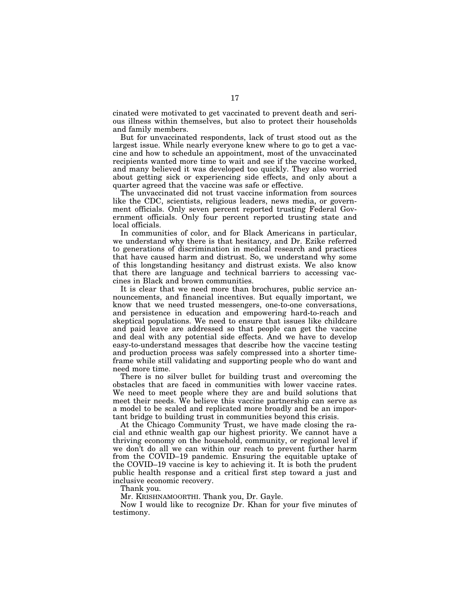cinated were motivated to get vaccinated to prevent death and serious illness within themselves, but also to protect their households and family members.

But for unvaccinated respondents, lack of trust stood out as the largest issue. While nearly everyone knew where to go to get a vaccine and how to schedule an appointment, most of the unvaccinated recipients wanted more time to wait and see if the vaccine worked, and many believed it was developed too quickly. They also worried about getting sick or experiencing side effects, and only about a quarter agreed that the vaccine was safe or effective.

The unvaccinated did not trust vaccine information from sources like the CDC, scientists, religious leaders, news media, or government officials. Only seven percent reported trusting Federal Government officials. Only four percent reported trusting state and local officials.

In communities of color, and for Black Americans in particular, we understand why there is that hesitancy, and Dr. Ezike referred to generations of discrimination in medical research and practices that have caused harm and distrust. So, we understand why some of this longstanding hesitancy and distrust exists. We also know that there are language and technical barriers to accessing vaccines in Black and brown communities.

It is clear that we need more than brochures, public service announcements, and financial incentives. But equally important, we know that we need trusted messengers, one-to-one conversations, and persistence in education and empowering hard-to-reach and skeptical populations. We need to ensure that issues like childcare and paid leave are addressed so that people can get the vaccine and deal with any potential side effects. And we have to develop easy-to-understand messages that describe how the vaccine testing and production process was safely compressed into a shorter timeframe while still validating and supporting people who do want and need more time.

There is no silver bullet for building trust and overcoming the obstacles that are faced in communities with lower vaccine rates. We need to meet people where they are and build solutions that meet their needs. We believe this vaccine partnership can serve as a model to be scaled and replicated more broadly and be an important bridge to building trust in communities beyond this crisis.

At the Chicago Community Trust, we have made closing the racial and ethnic wealth gap our highest priority. We cannot have a thriving economy on the household, community, or regional level if we don't do all we can within our reach to prevent further harm from the COVID–19 pandemic. Ensuring the equitable uptake of the COVID–19 vaccine is key to achieving it. It is both the prudent public health response and a critical first step toward a just and inclusive economic recovery.

Thank you.

Mr. KRISHNAMOORTHI. Thank you, Dr. Gayle.

Now I would like to recognize Dr. Khan for your five minutes of testimony.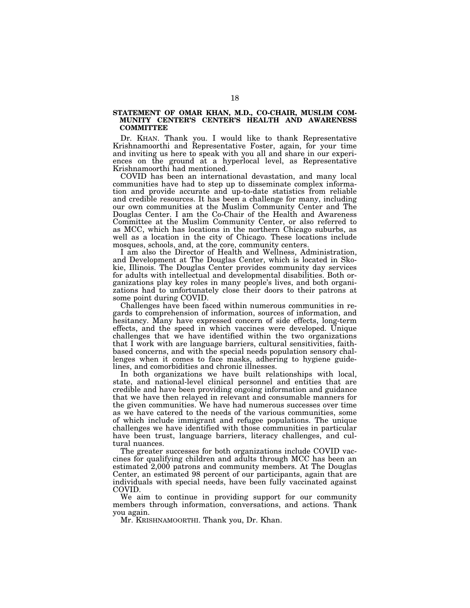## **STATEMENT OF OMAR KHAN, M.D., CO-CHAIR, MUSLIM COM-MUNITY CENTER'S CENTER'S HEALTH AND AWARENESS COMMITTEE**

Dr. KHAN. Thank you. I would like to thank Representative Krishnamoorthi and Representative Foster, again, for your time and inviting us here to speak with you all and share in our experiences on the ground at a hyperlocal level, as Representative Krishnamoorthi had mentioned.

COVID has been an international devastation, and many local communities have had to step up to disseminate complex information and provide accurate and up-to-date statistics from reliable and credible resources. It has been a challenge for many, including our own communities at the Muslim Community Center and The Douglas Center. I am the Co-Chair of the Health and Awareness Committee at the Muslim Community Center, or also referred to as MCC, which has locations in the northern Chicago suburbs, as well as a location in the city of Chicago. These locations include mosques, schools, and, at the core, community centers.

I am also the Director of Health and Wellness, Administration, and Development at The Douglas Center, which is located in Skokie, Illinois. The Douglas Center provides community day services for adults with intellectual and developmental disabilities. Both organizations play key roles in many people's lives, and both organizations had to unfortunately close their doors to their patrons at some point during COVID.

Challenges have been faced within numerous communities in regards to comprehension of information, sources of information, and hesitancy. Many have expressed concern of side effects, long-term effects, and the speed in which vaccines were developed. Unique challenges that we have identified within the two organizations that I work with are language barriers, cultural sensitivities, faithbased concerns, and with the special needs population sensory challenges when it comes to face masks, adhering to hygiene guidelines, and comorbidities and chronic illnesses.

In both organizations we have built relationships with local, state, and national-level clinical personnel and entities that are credible and have been providing ongoing information and guidance that we have then relayed in relevant and consumable manners for the given communities. We have had numerous successes over time as we have catered to the needs of the various communities, some of which include immigrant and refugee populations. The unique challenges we have identified with those communities in particular have been trust, language barriers, literacy challenges, and cultural nuances.

The greater successes for both organizations include COVID vaccines for qualifying children and adults through MCC has been an estimated 2,000 patrons and community members. At The Douglas Center, an estimated 98 percent of our participants, again that are individuals with special needs, have been fully vaccinated against COVID.

We aim to continue in providing support for our community members through information, conversations, and actions. Thank you again.

Mr. KRISHNAMOORTHI. Thank you, Dr. Khan.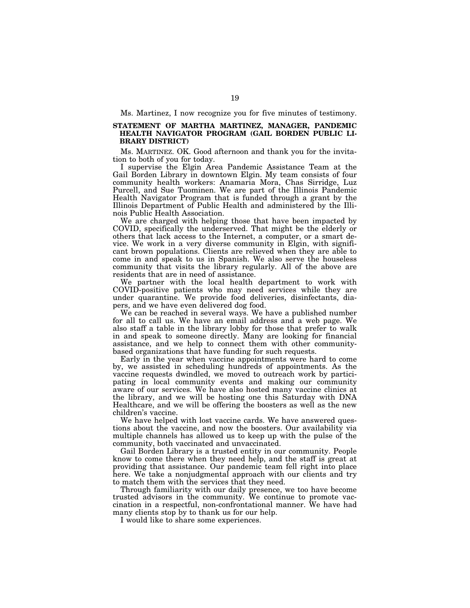Ms. Martinez, I now recognize you for five minutes of testimony.

# **STATEMENT OF MARTHA MARTINEZ, MANAGER, PANDEMIC HEALTH NAVIGATOR PROGRAM (GAIL BORDEN PUBLIC LI-BRARY DISTRICT)**

Ms. MARTINEZ. OK. Good afternoon and thank you for the invitation to both of you for today.

I supervise the Elgin Area Pandemic Assistance Team at the Gail Borden Library in downtown Elgin. My team consists of four community health workers: Anamaria Mora, Chas Sirridge, Luz Purcell, and Sue Tuominen. We are part of the Illinois Pandemic Health Navigator Program that is funded through a grant by the Illinois Department of Public Health and administered by the Illinois Public Health Association.

We are charged with helping those that have been impacted by COVID, specifically the underserved. That might be the elderly or others that lack access to the Internet, a computer, or a smart device. We work in a very diverse community in Elgin, with significant brown populations. Clients are relieved when they are able to come in and speak to us in Spanish. We also serve the houseless community that visits the library regularly. All of the above are residents that are in need of assistance.

We partner with the local health department to work with COVID-positive patients who may need services while they are under quarantine. We provide food deliveries, disinfectants, diapers, and we have even delivered dog food.

We can be reached in several ways. We have a published number for all to call us. We have an email address and a web page. We also staff a table in the library lobby for those that prefer to walk in and speak to someone directly. Many are looking for financial assistance, and we help to connect them with other communitybased organizations that have funding for such requests.

Early in the year when vaccine appointments were hard to come by, we assisted in scheduling hundreds of appointments. As the vaccine requests dwindled, we moved to outreach work by participating in local community events and making our community aware of our services. We have also hosted many vaccine clinics at the library, and we will be hosting one this Saturday with DNA Healthcare, and we will be offering the boosters as well as the new children's vaccine.

We have helped with lost vaccine cards. We have answered questions about the vaccine, and now the boosters. Our availability via multiple channels has allowed us to keep up with the pulse of the community, both vaccinated and unvaccinated.

Gail Borden Library is a trusted entity in our community. People know to come there when they need help, and the staff is great at providing that assistance. Our pandemic team fell right into place here. We take a nonjudgmental approach with our clients and try to match them with the services that they need.

Through familiarity with our daily presence, we too have become trusted advisors in the community. We continue to promote vaccination in a respectful, non-confrontational manner. We have had many clients stop by to thank us for our help.

I would like to share some experiences.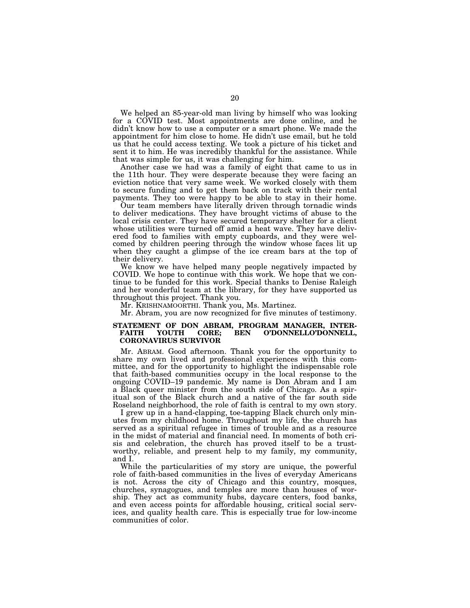We helped an 85-year-old man living by himself who was looking for a COVID test. Most appointments are done online, and he didn't know how to use a computer or a smart phone. We made the appointment for him close to home. He didn't use email, but he told us that he could access texting. We took a picture of his ticket and sent it to him. He was incredibly thankful for the assistance. While that was simple for us, it was challenging for him.

Another case we had was a family of eight that came to us in the 11th hour. They were desperate because they were facing an eviction notice that very same week. We worked closely with them to secure funding and to get them back on track with their rental payments. They too were happy to be able to stay in their home.

Our team members have literally driven through tornadic winds to deliver medications. They have brought victims of abuse to the local crisis center. They have secured temporary shelter for a client whose utilities were turned off amid a heat wave. They have delivered food to families with empty cupboards, and they were welcomed by children peering through the window whose faces lit up when they caught a glimpse of the ice cream bars at the top of their delivery.

We know we have helped many people negatively impacted by COVID. We hope to continue with this work. We hope that we continue to be funded for this work. Special thanks to Denise Raleigh and her wonderful team at the library, for they have supported us throughout this project. Thank you.

Mr. KRISHNAMOORTHI. Thank you, Ms. Martinez.

Mr. Abram, you are now recognized for five minutes of testimony.

### **STATEMENT OF DON ABRAM, PROGRAM MANAGER, INTER-**O'DONNELLO'DONNELL, **CORONAVIRUS SURVIVOR**

Mr. ABRAM. Good afternoon. Thank you for the opportunity to share my own lived and professional experiences with this committee, and for the opportunity to highlight the indispensable role that faith-based communities occupy in the local response to the ongoing COVID–19 pandemic. My name is Don Abram and I am a Black queer minister from the south side of Chicago. As a spiritual son of the Black church and a native of the far south side Roseland neighborhood, the role of faith is central to my own story.

I grew up in a hand-clapping, toe-tapping Black church only minutes from my childhood home. Throughout my life, the church has served as a spiritual refugee in times of trouble and as a resource in the midst of material and financial need. In moments of both crisis and celebration, the church has proved itself to be a trustworthy, reliable, and present help to my family, my community, and I.

While the particularities of my story are unique, the powerful role of faith-based communities in the lives of everyday Americans is not. Across the city of Chicago and this country, mosques, churches, synagogues, and temples are more than houses of worship. They act as community hubs, daycare centers, food banks, and even access points for affordable housing, critical social services, and quality health care. This is especially true for low-income communities of color.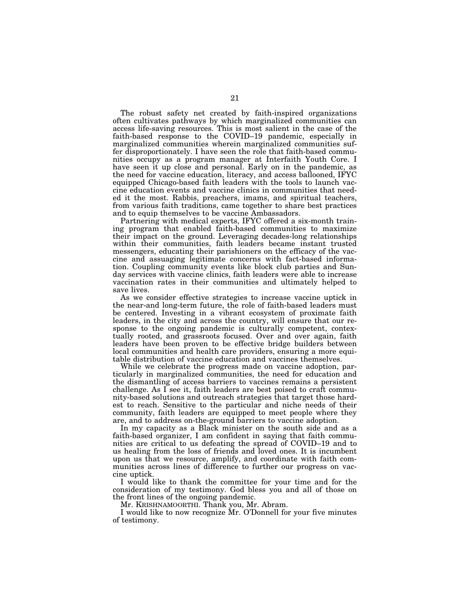The robust safety net created by faith-inspired organizations often cultivates pathways by which marginalized communities can access life-saving resources. This is most salient in the case of the faith-based response to the COVID–19 pandemic, especially in marginalized communities wherein marginalized communities suffer disproportionately. I have seen the role that faith-based communities occupy as a program manager at Interfaith Youth Core. I have seen it up close and personal. Early on in the pandemic, as the need for vaccine education, literacy, and access ballooned, IFYC equipped Chicago-based faith leaders with the tools to launch vaccine education events and vaccine clinics in communities that needed it the most. Rabbis, preachers, imams, and spiritual teachers, from various faith traditions, came together to share best practices and to equip themselves to be vaccine Ambassadors.

Partnering with medical experts, IFYC offered a six-month training program that enabled faith-based communities to maximize their impact on the ground. Leveraging decades-long relationships within their communities, faith leaders became instant trusted messengers, educating their parishioners on the efficacy of the vaccine and assuaging legitimate concerns with fact-based information. Coupling community events like block club parties and Sunday services with vaccine clinics, faith leaders were able to increase vaccination rates in their communities and ultimately helped to save lives.

As we consider effective strategies to increase vaccine uptick in the near-and long-term future, the role of faith-based leaders must be centered. Investing in a vibrant ecosystem of proximate faith leaders, in the city and across the country, will ensure that our response to the ongoing pandemic is culturally competent, contextually rooted, and grassroots focused. Over and over again, faith leaders have been proven to be effective bridge builders between local communities and health care providers, ensuring a more equitable distribution of vaccine education and vaccines themselves.

While we celebrate the progress made on vaccine adoption, particularly in marginalized communities, the need for education and the dismantling of access barriers to vaccines remains a persistent challenge. As  $\overline{\mathrm{I}}$  see it, faith leaders are best poised to craft community-based solutions and outreach strategies that target those hardest to reach. Sensitive to the particular and niche needs of their community, faith leaders are equipped to meet people where they are, and to address on-the-ground barriers to vaccine adoption.

In my capacity as a Black minister on the south side and as a faith-based organizer, I am confident in saying that faith communities are critical to us defeating the spread of COVID–19 and to us healing from the loss of friends and loved ones. It is incumbent upon us that we resource, amplify, and coordinate with faith communities across lines of difference to further our progress on vaccine uptick.

I would like to thank the committee for your time and for the consideration of my testimony. God bless you and all of those on the front lines of the ongoing pandemic.

Mr. KRISHNAMOORTHI. Thank you, Mr. Abram.

I would like to now recognize Mr. O'Donnell for your five minutes of testimony.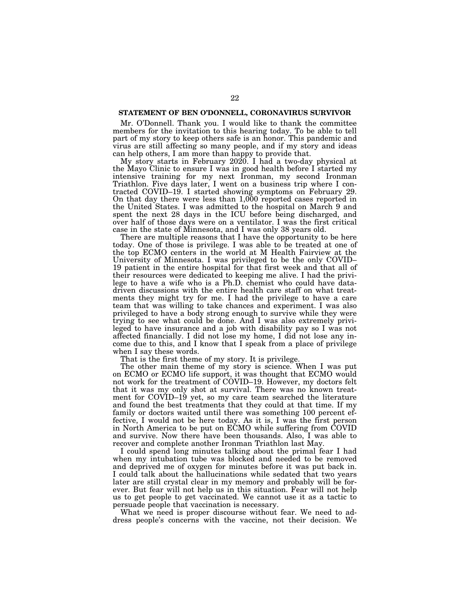# **STATEMENT OF BEN O'DONNELL, CORONAVIRUS SURVIVOR**

Mr. O'Donnell. Thank you. I would like to thank the committee members for the invitation to this hearing today. To be able to tell part of my story to keep others safe is an honor. This pandemic and virus are still affecting so many people, and if my story and ideas can help others, I am more than happy to provide that.

My story starts in February 2020. I had a two-day physical at the Mayo Clinic to ensure I was in good health before I started my intensive training for my next Ironman, my second Ironman Triathlon. Five days later, I went on a business trip where I contracted COVID–19. I started showing symptoms on February 29. On that day there were less than 1,000 reported cases reported in the United States. I was admitted to the hospital on March 9 and spent the next 28 days in the ICU before being discharged, and over half of those days were on a ventilator. I was the first critical case in the state of Minnesota, and I was only 38 years old.

There are multiple reasons that I have the opportunity to be here today. One of those is privilege. I was able to be treated at one of the top ECMO centers in the world at M Health Fairview at the University of Minnesota. I was privileged to be the only COVID– 19 patient in the entire hospital for that first week and that all of their resources were dedicated to keeping me alive. I had the privilege to have a wife who is a Ph.D. chemist who could have datadriven discussions with the entire health care staff on what treatments they might try for me. I had the privilege to have a care team that was willing to take chances and experiment. I was also privileged to have a body strong enough to survive while they were trying to see what could be done. And I was also extremely privileged to have insurance and a job with disability pay so I was not affected financially. I did not lose my home, I did not lose any income due to this, and I know that I speak from a place of privilege when I say these words.

That is the first theme of my story. It is privilege.

The other main theme of my story is science. When I was put on ECMO or ECMO life support, it was thought that ECMO would not work for the treatment of COVID–19. However, my doctors felt that it was my only shot at survival. There was no known treatment for COVID–19 yet, so my care team searched the literature and found the best treatments that they could at that time. If my family or doctors waited until there was something 100 percent effective, I would not be here today. As it is, I was the first person in North America to be put on ECMO while suffering from COVID and survive. Now there have been thousands. Also, I was able to recover and complete another Ironman Triathlon last May.

I could spend long minutes talking about the primal fear I had when my intubation tube was blocked and needed to be removed and deprived me of oxygen for minutes before it was put back in. I could talk about the hallucinations while sedated that two years later are still crystal clear in my memory and probably will be forever. But fear will not help us in this situation. Fear will not help us to get people to get vaccinated. We cannot use it as a tactic to persuade people that vaccination is necessary.

What we need is proper discourse without fear. We need to address people's concerns with the vaccine, not their decision. We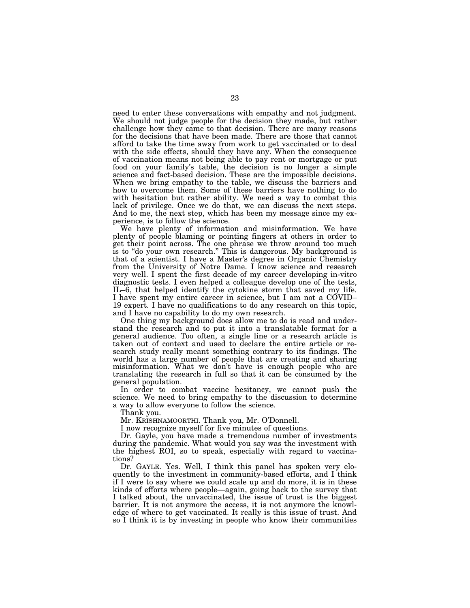need to enter these conversations with empathy and not judgment. We should not judge people for the decision they made, but rather challenge how they came to that decision. There are many reasons for the decisions that have been made. There are those that cannot afford to take the time away from work to get vaccinated or to deal with the side effects, should they have any. When the consequence of vaccination means not being able to pay rent or mortgage or put food on your family's table, the decision is no longer a simple science and fact-based decision. These are the impossible decisions. When we bring empathy to the table, we discuss the barriers and how to overcome them. Some of these barriers have nothing to do with hesitation but rather ability. We need a way to combat this lack of privilege. Once we do that, we can discuss the next steps. And to me, the next step, which has been my message since my experience, is to follow the science.

We have plenty of information and misinformation. We have plenty of people blaming or pointing fingers at others in order to get their point across. The one phrase we throw around too much is to ''do your own research.'' This is dangerous. My background is that of a scientist. I have a Master's degree in Organic Chemistry from the University of Notre Dame. I know science and research very well. I spent the first decade of my career developing in-vitro diagnostic tests. I even helped a colleague develop one of the tests, IL–6, that helped identify the cytokine storm that saved my life. I have spent my entire career in science, but I am not a COVID– 19 expert. I have no qualifications to do any research on this topic, and I have no capability to do my own research.

One thing my background does allow me to do is read and understand the research and to put it into a translatable format for a general audience. Too often, a single line or a research article is taken out of context and used to declare the entire article or research study really meant something contrary to its findings. The world has a large number of people that are creating and sharing misinformation. What we don't have is enough people who are translating the research in full so that it can be consumed by the general population.

In order to combat vaccine hesitancy, we cannot push the science. We need to bring empathy to the discussion to determine a way to allow everyone to follow the science.

Thank you.

Mr. KRISHNAMOORTHI. Thank you, Mr. O'Donnell.

I now recognize myself for five minutes of questions.

Dr. Gayle, you have made a tremendous number of investments during the pandemic. What would you say was the investment with the highest ROI, so to speak, especially with regard to vaccinations?

Dr. GAYLE. Yes. Well, I think this panel has spoken very eloquently to the investment in community-based efforts, and I think if I were to say where we could scale up and do more, it is in these kinds of efforts where people—again, going back to the survey that I talked about, the unvaccinated, the issue of trust is the biggest barrier. It is not anymore the access, it is not anymore the knowledge of where to get vaccinated. It really is this issue of trust. And so I think it is by investing in people who know their communities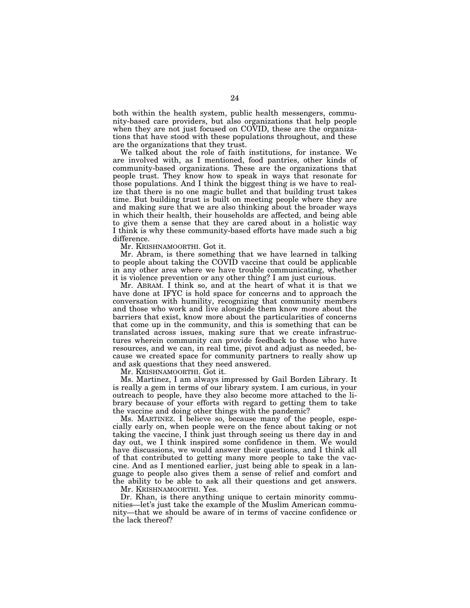both within the health system, public health messengers, community-based care providers, but also organizations that help people when they are not just focused on COVID, these are the organizations that have stood with these populations throughout, and these are the organizations that they trust.

We talked about the role of faith institutions, for instance. We are involved with, as I mentioned, food pantries, other kinds of community-based organizations. These are the organizations that people trust. They know how to speak in ways that resonate for those populations. And I think the biggest thing is we have to realize that there is no one magic bullet and that building trust takes time. But building trust is built on meeting people where they are and making sure that we are also thinking about the broader ways in which their health, their households are affected, and being able to give them a sense that they are cared about in a holistic way I think is why these community-based efforts have made such a big difference.

Mr. KRISHNAMOORTHI. Got it.

Mr. Abram, is there something that we have learned in talking to people about taking the COVID vaccine that could be applicable in any other area where we have trouble communicating, whether it is violence prevention or any other thing? I am just curious.

Mr. ABRAM. I think so, and at the heart of what it is that we have done at IFYC is hold space for concerns and to approach the conversation with humility, recognizing that community members and those who work and live alongside them know more about the barriers that exist, know more about the particularities of concerns that come up in the community, and this is something that can be translated across issues, making sure that we create infrastructures wherein community can provide feedback to those who have resources, and we can, in real time, pivot and adjust as needed, because we created space for community partners to really show up and ask questions that they need answered.

Mr. KRISHNAMOORTHI. Got it.

Ms. Martinez, I am always impressed by Gail Borden Library. It is really a gem in terms of our library system. I am curious, in your outreach to people, have they also become more attached to the library because of your efforts with regard to getting them to take the vaccine and doing other things with the pandemic?

Ms. MARTINEZ. I believe so, because many of the people, especially early on, when people were on the fence about taking or not taking the vaccine, I think just through seeing us there day in and day out, we I think inspired some confidence in them. We would have discussions, we would answer their questions, and I think all of that contributed to getting many more people to take the vaccine. And as I mentioned earlier, just being able to speak in a language to people also gives them a sense of relief and comfort and the ability to be able to ask all their questions and get answers.

Mr. KRISHNAMOORTHI. Yes.

Dr. Khan, is there anything unique to certain minority communities—let's just take the example of the Muslim American community—that we should be aware of in terms of vaccine confidence or the lack thereof?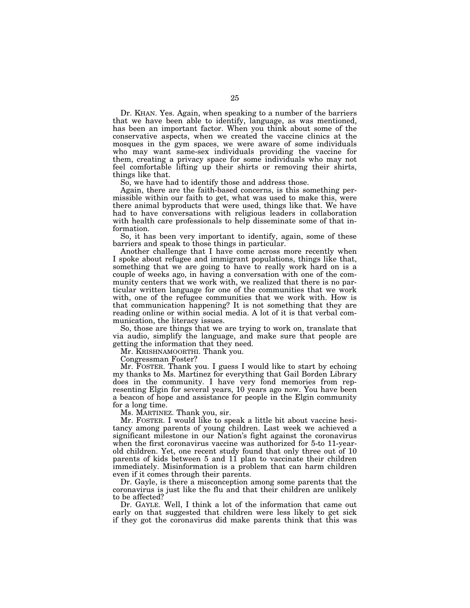Dr. KHAN. Yes. Again, when speaking to a number of the barriers that we have been able to identify, language, as was mentioned, has been an important factor. When you think about some of the conservative aspects, when we created the vaccine clinics at the mosques in the gym spaces, we were aware of some individuals who may want same-sex individuals providing the vaccine for them, creating a privacy space for some individuals who may not feel comfortable lifting up their shirts or removing their shirts, things like that.

So, we have had to identify those and address those.

Again, there are the faith-based concerns, is this something permissible within our faith to get, what was used to make this, were there animal byproducts that were used, things like that. We have had to have conversations with religious leaders in collaboration with health care professionals to help disseminate some of that information.

So, it has been very important to identify, again, some of these barriers and speak to those things in particular.

Another challenge that I have come across more recently when I spoke about refugee and immigrant populations, things like that, something that we are going to have to really work hard on is a couple of weeks ago, in having a conversation with one of the community centers that we work with, we realized that there is no particular written language for one of the communities that we work with, one of the refugee communities that we work with. How is that communication happening? It is not something that they are reading online or within social media. A lot of it is that verbal communication, the literacy issues.

So, those are things that we are trying to work on, translate that via audio, simplify the language, and make sure that people are getting the information that they need.

Mr. KRISHNAMOORTHI. Thank you.

Congressman Foster?

Mr. FOSTER. Thank you. I guess I would like to start by echoing my thanks to Ms. Martinez for everything that Gail Borden Library does in the community. I have very fond memories from representing Elgin for several years, 10 years ago now. You have been a beacon of hope and assistance for people in the Elgin community for a long time.

Ms. MARTINEZ. Thank you, sir.

Mr. FOSTER. I would like to speak a little bit about vaccine hesitancy among parents of young children. Last week we achieved a significant milestone in our Nation's fight against the coronavirus when the first coronavirus vaccine was authorized for 5-to 11-yearold children. Yet, one recent study found that only three out of 10 parents of kids between 5 and 11 plan to vaccinate their children immediately. Misinformation is a problem that can harm children even if it comes through their parents.

Dr. Gayle, is there a misconception among some parents that the coronavirus is just like the flu and that their children are unlikely to be affected?

Dr. GAYLE. Well, I think a lot of the information that came out early on that suggested that children were less likely to get sick if they got the coronavirus did make parents think that this was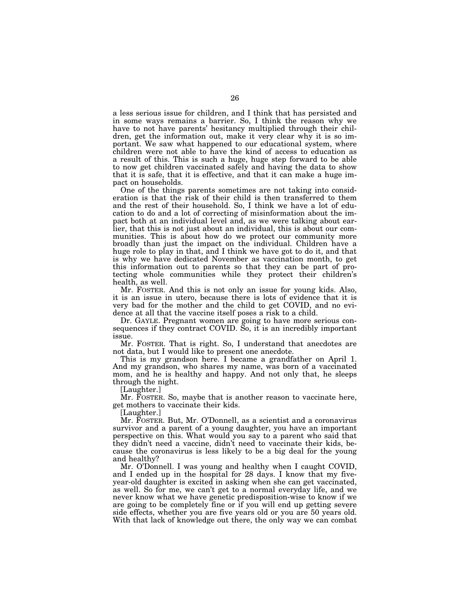a less serious issue for children, and I think that has persisted and in some ways remains a barrier. So, I think the reason why we have to not have parents' hesitancy multiplied through their children, get the information out, make it very clear why it is so important. We saw what happened to our educational system, where children were not able to have the kind of access to education as a result of this. This is such a huge, huge step forward to be able to now get children vaccinated safely and having the data to show that it is safe, that it is effective, and that it can make a huge impact on households.

One of the things parents sometimes are not taking into consideration is that the risk of their child is then transferred to them and the rest of their household. So, I think we have a lot of education to do and a lot of correcting of misinformation about the impact both at an individual level and, as we were talking about earlier, that this is not just about an individual, this is about our communities. This is about how do we protect our community more broadly than just the impact on the individual. Children have a huge role to play in that, and I think we have got to do it, and that is why we have dedicated November as vaccination month, to get this information out to parents so that they can be part of protecting whole communities while they protect their children's health, as well.

Mr. FOSTER. And this is not only an issue for young kids. Also, it is an issue in utero, because there is lots of evidence that it is very bad for the mother and the child to get COVID, and no evidence at all that the vaccine itself poses a risk to a child.

Dr. GAYLE. Pregnant women are going to have more serious consequences if they contract COVID. So, it is an incredibly important issue.

Mr. FOSTER. That is right. So, I understand that anecdotes are not data, but I would like to present one anecdote.

This is my grandson here. I became a grandfather on April 1. And my grandson, who shares my name, was born of a vaccinated mom, and he is healthy and happy. And not only that, he sleeps through the night.

[Laughter.]

Mr. FOSTER. So, maybe that is another reason to vaccinate here, get mothers to vaccinate their kids.

[Laughter.]

Mr. FOSTER. But, Mr. O'Donnell, as a scientist and a coronavirus survivor and a parent of a young daughter, you have an important perspective on this. What would you say to a parent who said that they didn't need a vaccine, didn't need to vaccinate their kids, because the coronavirus is less likely to be a big deal for the young and healthy?

Mr. O'Donnell. I was young and healthy when I caught COVID, and I ended up in the hospital for 28 days. I know that my fiveyear-old daughter is excited in asking when she can get vaccinated, as well. So for me, we can't get to a normal everyday life, and we never know what we have genetic predisposition-wise to know if we are going to be completely fine or if you will end up getting severe side effects, whether you are five years old or you are 50 years old. With that lack of knowledge out there, the only way we can combat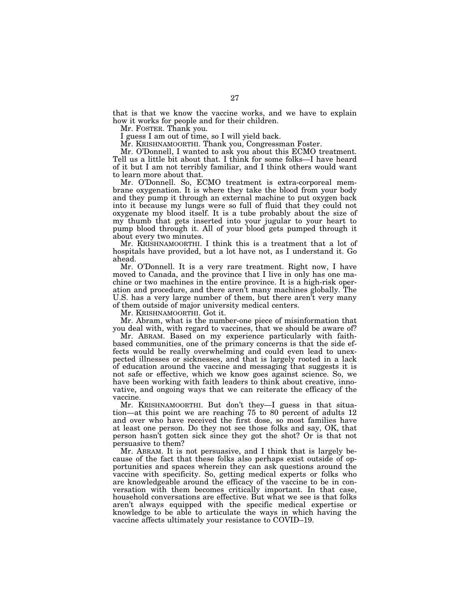that is that we know the vaccine works, and we have to explain how it works for people and for their children.

Mr. FOSTER. Thank you.

I guess I am out of time, so I will yield back.

Mr. KRISHNAMOORTHI. Thank you, Congressman Foster.

Mr. O'Donnell, I wanted to ask you about this ECMO treatment. Tell us a little bit about that. I think for some folks—I have heard of it but I am not terribly familiar, and I think others would want to learn more about that.

Mr. O'Donnell. So, ECMO treatment is extra-corporeal membrane oxygenation. It is where they take the blood from your body and they pump it through an external machine to put oxygen back into it because my lungs were so full of fluid that they could not oxygenate my blood itself. It is a tube probably about the size of my thumb that gets inserted into your jugular to your heart to pump blood through it. All of your blood gets pumped through it about every two minutes.

Mr. KRISHNAMOORTHI. I think this is a treatment that a lot of hospitals have provided, but a lot have not, as I understand it. Go ahead.

Mr. O'Donnell. It is a very rare treatment. Right now, I have moved to Canada, and the province that I live in only has one machine or two machines in the entire province. It is a high-risk operation and procedure, and there aren't many machines globally. The U.S. has a very large number of them, but there aren't very many of them outside of major university medical centers.

Mr. KRISHNAMOORTHI. Got it.

Mr. Abram, what is the number-one piece of misinformation that you deal with, with regard to vaccines, that we should be aware of?

Mr. ABRAM. Based on my experience particularly with faithbased communities, one of the primary concerns is that the side effects would be really overwhelming and could even lead to unexpected illnesses or sicknesses, and that is largely rooted in a lack of education around the vaccine and messaging that suggests it is not safe or effective, which we know goes against science. So, we have been working with faith leaders to think about creative, innovative, and ongoing ways that we can reiterate the efficacy of the vaccine.

Mr. KRISHNAMOORTHI. But don't they—I guess in that situation—at this point we are reaching 75 to 80 percent of adults 12 and over who have received the first dose, so most families have at least one person. Do they not see those folks and say, OK, that person hasn't gotten sick since they got the shot? Or is that not persuasive to them?

Mr. ABRAM. It is not persuasive, and I think that is largely because of the fact that these folks also perhaps exist outside of opportunities and spaces wherein they can ask questions around the vaccine with specificity. So, getting medical experts or folks who are knowledgeable around the efficacy of the vaccine to be in conversation with them becomes critically important. In that case, household conversations are effective. But what we see is that folks aren't always equipped with the specific medical expertise or knowledge to be able to articulate the ways in which having the vaccine affects ultimately your resistance to COVID–19.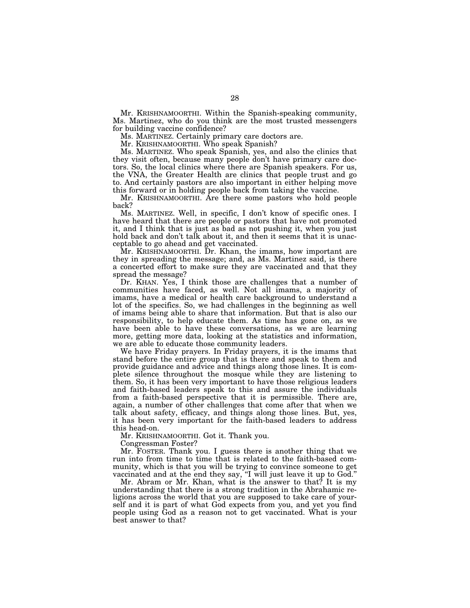Mr. KRISHNAMOORTHI. Within the Spanish-speaking community, Ms. Martinez, who do you think are the most trusted messengers for building vaccine confidence?

Ms. MARTINEZ. Certainly primary care doctors are.

Mr. KRISHNAMOORTHI. Who speak Spanish?

Ms. MARTINEZ. Who speak Spanish, yes, and also the clinics that they visit often, because many people don't have primary care doctors. So, the local clinics where there are Spanish speakers. For us, the VNA, the Greater Health are clinics that people trust and go to. And certainly pastors are also important in either helping move this forward or in holding people back from taking the vaccine.

Mr. KRISHNAMOORTHI. Are there some pastors who hold people back?

Ms. MARTINEZ. Well, in specific, I don't know of specific ones. I have heard that there are people or pastors that have not promoted it, and I think that is just as bad as not pushing it, when you just hold back and don't talk about it, and then it seems that it is unacceptable to go ahead and get vaccinated.

Mr. KRISHNAMOORTHI. Dr. Khan, the imams, how important are they in spreading the message; and, as Ms. Martinez said, is there a concerted effort to make sure they are vaccinated and that they spread the message?

Dr. KHAN. Yes, I think those are challenges that a number of communities have faced, as well. Not all imams, a majority of imams, have a medical or health care background to understand a lot of the specifics. So, we had challenges in the beginning as well of imams being able to share that information. But that is also our responsibility, to help educate them. As time has gone on, as we have been able to have these conversations, as we are learning more, getting more data, looking at the statistics and information, we are able to educate those community leaders.

We have Friday prayers. In Friday prayers, it is the imams that stand before the entire group that is there and speak to them and provide guidance and advice and things along those lines. It is complete silence throughout the mosque while they are listening to them. So, it has been very important to have those religious leaders and faith-based leaders speak to this and assure the individuals from a faith-based perspective that it is permissible. There are, again, a number of other challenges that come after that when we talk about safety, efficacy, and things along those lines. But, yes, it has been very important for the faith-based leaders to address this head-on.

Mr. KRISHNAMOORTHI. Got it. Thank you.

Congressman Foster?

Mr. FOSTER. Thank you. I guess there is another thing that we run into from time to time that is related to the faith-based community, which is that you will be trying to convince someone to get vaccinated and at the end they say, ''I will just leave it up to God.''

Mr. Abram or Mr. Khan, what is the answer to that? It is my understanding that there is a strong tradition in the Abrahamic religions across the world that you are supposed to take care of yourself and it is part of what God expects from you, and yet you find people using God as a reason not to get vaccinated. What is your best answer to that?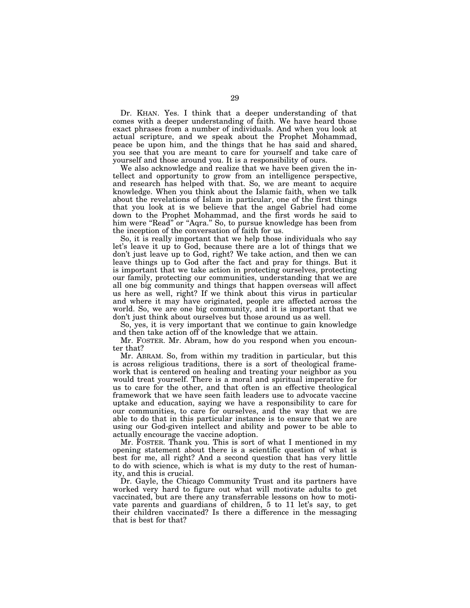Dr. KHAN. Yes. I think that a deeper understanding of that comes with a deeper understanding of faith. We have heard those exact phrases from a number of individuals. And when you look at actual scripture, and we speak about the Prophet Mohammad, peace be upon him, and the things that he has said and shared, you see that you are meant to care for yourself and take care of yourself and those around you. It is a responsibility of ours.

We also acknowledge and realize that we have been given the intellect and opportunity to grow from an intelligence perspective, and research has helped with that. So, we are meant to acquire knowledge. When you think about the Islamic faith, when we talk about the revelations of Islam in particular, one of the first things that you look at is we believe that the angel Gabriel had come down to the Prophet Mohammad, and the first words he said to him were "Read" or "Aqra." So, to pursue knowledge has been from the inception of the conversation of faith for us.

So, it is really important that we help those individuals who say let's leave it up to God, because there are a lot of things that we don't just leave up to God, right? We take action, and then we can leave things up to God after the fact and pray for things. But it is important that we take action in protecting ourselves, protecting our family, protecting our communities, understanding that we are all one big community and things that happen overseas will affect us here as well, right? If we think about this virus in particular and where it may have originated, people are affected across the world. So, we are one big community, and it is important that we don't just think about ourselves but those around us as well.

So, yes, it is very important that we continue to gain knowledge and then take action off of the knowledge that we attain.

Mr. FOSTER. Mr. Abram, how do you respond when you encounter that?

Mr. ABRAM. So, from within my tradition in particular, but this is across religious traditions, there is a sort of theological framework that is centered on healing and treating your neighbor as you would treat yourself. There is a moral and spiritual imperative for us to care for the other, and that often is an effective theological framework that we have seen faith leaders use to advocate vaccine uptake and education, saying we have a responsibility to care for our communities, to care for ourselves, and the way that we are able to do that in this particular instance is to ensure that we are using our God-given intellect and ability and power to be able to actually encourage the vaccine adoption.

Mr. FOSTER. Thank you. This is sort of what I mentioned in my opening statement about there is a scientific question of what is best for me, all right? And a second question that has very little to do with science, which is what is my duty to the rest of humanity, and this is crucial.

Dr. Gayle, the Chicago Community Trust and its partners have worked very hard to figure out what will motivate adults to get vaccinated, but are there any transferrable lessons on how to motivate parents and guardians of children, 5 to 11 let's say, to get their children vaccinated? Is there a difference in the messaging that is best for that?